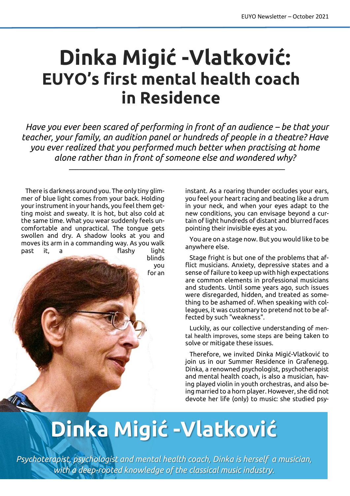## **Dinka Migić -Vlatković: EUYO's first mental health coach in Residence**

*Have you ever been scared of performing in front of an audience – be that your teacher, your family, an audition panel or hundreds of people in a theatre? Have you ever realized that you performed much better when practising at home alone rather than in front of someone else and wondered why?*

 $\_$  , and the set of the set of the set of the set of the set of the set of the set of the set of the set of the set of the set of the set of the set of the set of the set of the set of the set of the set of the set of th

There is darkness around you. The only tiny glimmer of blue light comes from your back. Holding your instrument in your hands, you feel them getting moist and sweaty. It is hot, but also cold at the same time. What you wear suddenly feels uncomfortable and unpractical. The tongue gets swollen and dry. A shadow looks at you and moves its arm in a commanding way. As you walk past it, a flashy light

blinds you for an instant. As a roaring thunder occludes your ears, you feel your heart racing and beating like a drum in your neck, and when your eyes adapt to the new conditions, you can envisage beyond a curtain of light hundreds of distant and blurred faces pointing their invisible eyes at you.

You are on a stage now. But you would like to be anywhere else.

Stage fright is but one of the problems that afflict musicians. Anxiety, depressive states and a sense of failure to keep up with high expectations are common elements in professional musicians and students. Until some years ago, such issues were disregarded, hidden, and treated as something to be ashamed of. When speaking with colleagues, it was customary to pretend not to be affected by such "weakness".

Luckily, as our collective understanding of mental health improves, some steps are being taken to solve or mitigate these issues.

Therefore, we invited Dinka Migić-Vlatković to join us in our Summer Residence in Grafenegg. Dinka, a renowned psychologist, psychotherapist and mental health coach, is also a musician, having played violin in youth orchestras, and also being married to a horn player. However, she did not devote her life (only) to music: she studied psy-

## **Dinka Migić -Vlatković**

*Psychoterapist, psychologist and mental health coach, Dinka is herself a musician, with a deep-rooted knowledge of the classical music industry.*